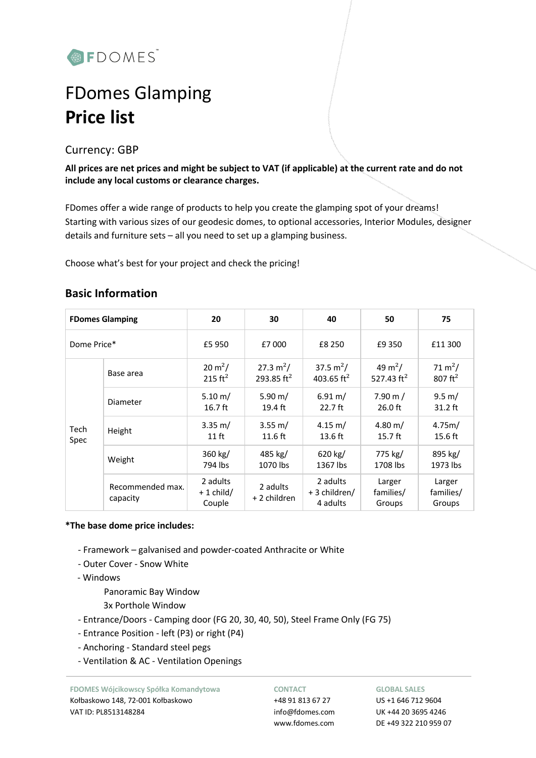

# FDomes Glamping **Price list**

## Currency: GBP

**All prices are net prices and might be subject to VAT (if applicable) at the current rate and do not include any local customs or clearance charges.**

FDomes offer a wide range of products to help you create the glamping spot of your dreams! Starting with various sizes of our geodesic domes, to optional accessories, Interior Modules, designer details and furniture sets – all you need to set up a glamping business.

Choose what's best for your project and check the pricing!

| <b>FDomes Glamping</b> |                              | 20                                | 30                            | 40                                    | 50                                   | 75                                        |
|------------------------|------------------------------|-----------------------------------|-------------------------------|---------------------------------------|--------------------------------------|-------------------------------------------|
| Dome Price*            |                              | £5 950                            | £7 000                        | £8 250                                | £9 350                               | £11 300                                   |
|                        | Base area                    | $20 \text{ m}^2$ /<br>215 $ft^2$  | 27.3 $m^2/$<br>293.85 $ft2$   | 37.5 $m^2/$<br>403.65 $ft^2$          | 49 m <sup>2</sup> /<br>527.43 $ft^2$ | 71 m <sup>2</sup> /<br>$807 \text{ ft}^2$ |
| Tech<br>Spec           | Diameter                     | 5.10 m/<br>$16.7$ ft              | 5.90 m/<br>$19.4 \text{ ft}$  | $6.91 \text{ m}$ /<br>$22.7$ ft       | $7.90 \text{ m}$ /<br>$26.0$ ft      | $9.5 \text{ m}$ /<br>$31.2$ ft            |
|                        | Height                       | $3.35 \text{ m}$ /<br>$11$ ft     | $3.55 \text{ m}$ /<br>11.6 ft | $4.15 \text{ m}$ /<br>13.6 ft         | $4.80 \; \mathrm{m}$ /<br>$15.7$ ft  | 4.75m/<br>$15.6$ ft                       |
|                        | Weight                       | 360 kg/<br>794 lbs                | 485 kg/<br>1070 lbs           | 620 kg/<br>1367 lbs                   | 775 kg/<br>1708 lbs                  | 895 kg/<br>1973 lbs                       |
|                        | Recommended max.<br>capacity | 2 adults<br>$+1$ child/<br>Couple | 2 adults<br>+ 2 children      | 2 adults<br>+ 3 children/<br>4 adults | Larger<br>families/<br>Groups        | Larger<br>families/<br>Groups             |

## **Basic Information**

### **\*The base dome price includes:**

- Framework galvanised and powder-coated Anthracite or White
- Outer Cover Snow White
- Windows

Panoramic Bay Window

- 3x Porthole Window
- Entrance/Doors Camping door (FG 20, 30, 40, 50), Steel Frame Only (FG 75)
- Entrance Position left (P3) or right (P4)
- Anchoring Standard steel pegs
- Ventilation & AC Ventilation Openings

**FDOMES Wójcikowscy Spółka Komandytowa** Kołbaskowo 148, 72-001 Kołbaskowo VAT ID: PL8513148284

#### **CONTACT**

+48 91 813 67 27 info@fdomes.com www.fdomes.com

#### **GLOBAL SALES**

US +1 646 712 9604 UK +44 20 3695 4246 DE +49 322 210 959 07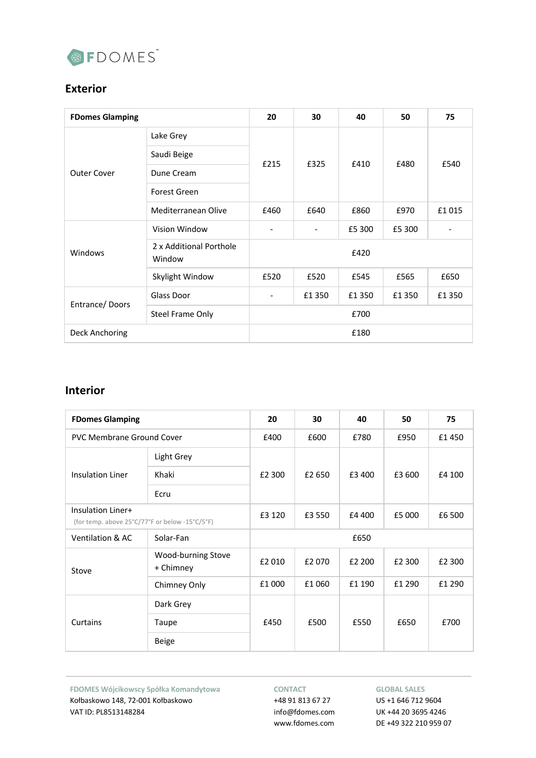

# **Exterior**

| <b>FDomes Glamping</b> |                                   | 20   | 30    | 40     | 50     | 75                           |  |
|------------------------|-----------------------------------|------|-------|--------|--------|------------------------------|--|
|                        | Lake Grey                         | £215 | £325  | £410   | £480   | £540                         |  |
|                        | Saudi Beige                       |      |       |        |        |                              |  |
| <b>Outer Cover</b>     | Dune Cream                        |      |       |        |        |                              |  |
|                        | Forest Green                      |      |       |        |        |                              |  |
|                        | Mediterranean Olive               | £460 | £640  | £860   | £970   | £1015                        |  |
|                        | Vision Window                     |      |       | £5 300 | £5 300 | $\qquad \qquad \blacksquare$ |  |
| Windows                | 2 x Additional Porthole<br>Window | £420 |       |        |        |                              |  |
|                        | Skylight Window                   | £520 | £520  | £545   | £565   | £650                         |  |
| Entrance/Doors         | Glass Door                        |      | £1350 | £1350  | £1350  | £1350                        |  |
|                        | <b>Steel Frame Only</b>           | £700 |       |        |        |                              |  |
| Deck Anchoring         |                                   | £180 |       |        |        |                              |  |

## **Interior**

| <b>FDomes Glamping</b>                                              |                                 | 20     | 30     | 40     | 50     | 75     |  |
|---------------------------------------------------------------------|---------------------------------|--------|--------|--------|--------|--------|--|
| <b>PVC Membrane Ground Cover</b>                                    |                                 | £400   | £600   | £780   | £950   | £1450  |  |
|                                                                     | Light Grey                      | £2 300 | £2 650 | £3 400 | £3 600 | £4 100 |  |
| <b>Insulation Liner</b>                                             | Khaki                           |        |        |        |        |        |  |
|                                                                     | Ecru                            |        |        |        |        |        |  |
| Insulation Liner+<br>(for temp. above 25°C/77°F or below -15°C/5°F) |                                 | £3 120 | £3 550 | £4 400 | £5 000 | £6 500 |  |
| Solar-Fan<br><b>Ventilation &amp; AC</b>                            |                                 | £650   |        |        |        |        |  |
| Stove                                                               | Wood-burning Stove<br>+ Chimney | £2 010 | £2 070 | £2 200 | £2 300 | £2 300 |  |
|                                                                     | Chimney Only                    | £1 000 | £1 060 | £1 190 | £1 290 | £1 290 |  |
|                                                                     | Dark Grey                       | £450   | £500   | £550   | £650   | £700   |  |
| Curtains                                                            | Taupe                           |        |        |        |        |        |  |
|                                                                     | <b>Beige</b>                    |        |        |        |        |        |  |

**FDOMES Wójcikowscy Spółka Komandytowa** Kołbaskowo 148, 72-001 Kołbaskowo VAT ID: PL8513148284

#### **CONTACT**

+48 91 813 67 27 info@fdomes.com www.fdomes.com

#### **GLOBAL SALES**

US +1 646 712 9604 UK +44 20 3695 4246 DE +49 322 210 959 07